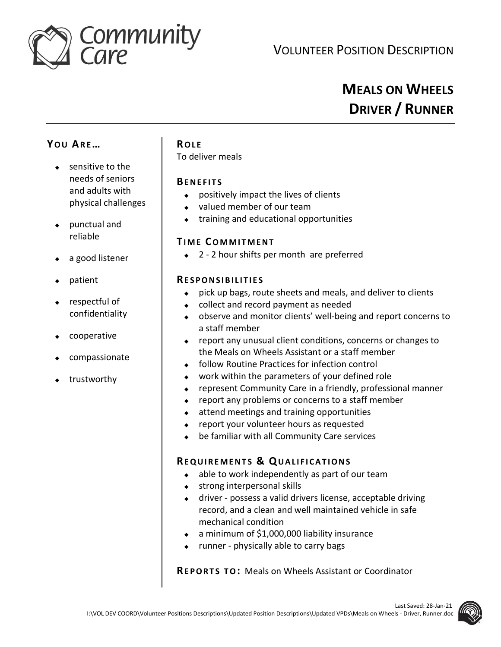

# **MEALS ON WHEELS DRIVER / RUNNER**

## **YO U AR E…**

- $\bullet$  sensitive to the needs of seniors and adults with physical challenges
- punctual and reliable
- a good listener
- patient
- respectful of confidentiality
- cooperative
- compassionate
- trustworthy

### **RO L E**

To deliver meals

#### **BE N E F I T S**

- positively impact the lives of clients
- valued member of our team
- training and educational opportunities

### **TI M E CO M M I T M E N T**

◆ 2 - 2 hour shifts per month are preferred

#### **RE S P O N S I B I L I T I E S**

- pick up bags, route sheets and meals, and deliver to clients
- collect and record payment as needed
- observe and monitor clients' well-being and report concerns to a staff member
- report any unusual client conditions, concerns or changes to the Meals on Wheels Assistant or a staff member
- follow Routine Practices for infection control
- work within the parameters of your defined role
- represent Community Care in a friendly, professional manner
- ◆ report any problems or concerns to a staff member
- attend meetings and training opportunities
- report your volunteer hours as requested
- be familiar with all Community Care services

### **RE Q U I R E M E N T S & QU A L I F I C A T I O N S**

- $\bullet$  able to work independently as part of our team
- **strong interpersonal skills**
- driver possess a valid drivers license, acceptable driving record, and a clean and well maintained vehicle in safe mechanical condition
- $\bullet$  a minimum of \$1,000,000 liability insurance
- runner physically able to carry bags

**REPORTS TO: Meals on Wheels Assistant or Coordinator**